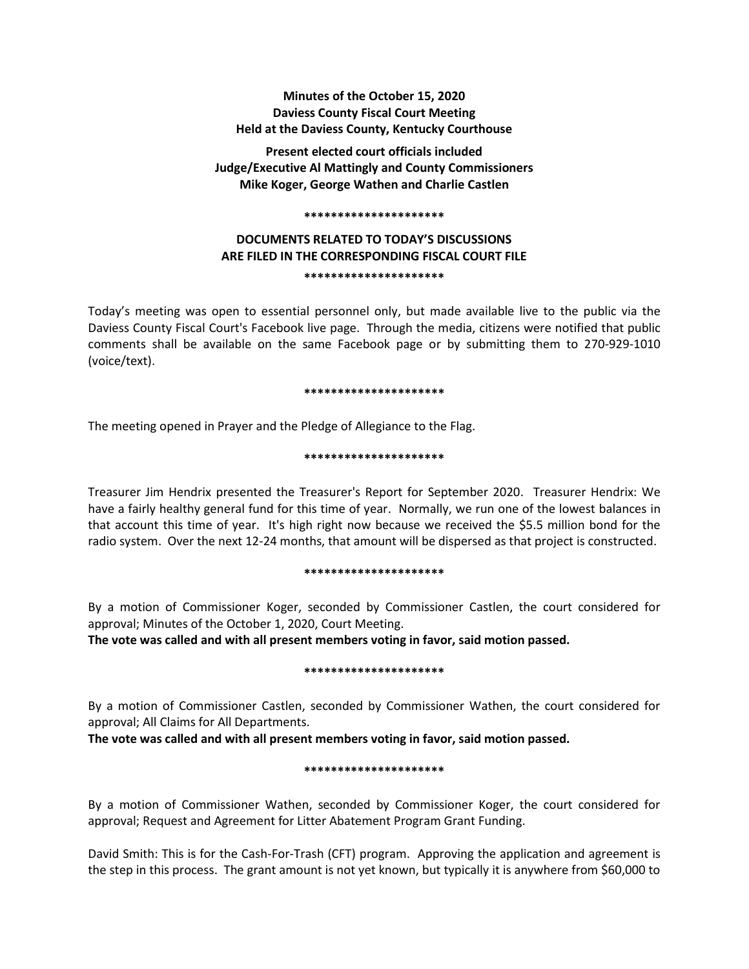**Minutes of the October 15, 2020 Daviess County Fiscal Court Meeting Held at the Daviess County, Kentucky Courthouse**

**Present elected court officials included Judge/Executive Al Mattingly and County Commissioners Mike Koger, George Wathen and Charlie Castlen**

#### **\*\*\*\*\*\*\*\*\*\*\*\*\*\*\*\*\*\*\*\*\***

# **DOCUMENTS RELATED TO TODAY'S DISCUSSIONS ARE FILED IN THE CORRESPONDING FISCAL COURT FILE \*\*\*\*\*\*\*\*\*\*\*\*\*\*\*\*\*\*\*\*\***

Today's meeting was open to essential personnel only, but made available live to the public via the Daviess County Fiscal Court's Facebook live page. Through the media, citizens were notified that public comments shall be available on the same Facebook page or by submitting them to 270-929-1010 (voice/text).

#### **\*\*\*\*\*\*\*\*\*\*\*\*\*\*\*\*\*\*\*\*\***

The meeting opened in Prayer and the Pledge of Allegiance to the Flag.

### **\*\*\*\*\*\*\*\*\*\*\*\*\*\*\*\*\*\*\*\*\***

Treasurer Jim Hendrix presented the Treasurer's Report for September 2020. Treasurer Hendrix: We have a fairly healthy general fund for this time of year. Normally, we run one of the lowest balances in that account this time of year. It's high right now because we received the \$5.5 million bond for the radio system. Over the next 12-24 months, that amount will be dispersed as that project is constructed.

### **\*\*\*\*\*\*\*\*\*\*\*\*\*\*\*\*\*\*\*\*\***

By a motion of Commissioner Koger, seconded by Commissioner Castlen, the court considered for approval; Minutes of the October 1, 2020, Court Meeting.

**The vote was called and with all present members voting in favor, said motion passed.** 

### **\*\*\*\*\*\*\*\*\*\*\*\*\*\*\*\*\*\*\*\*\***

By a motion of Commissioner Castlen, seconded by Commissioner Wathen, the court considered for approval; All Claims for All Departments.

**The vote was called and with all present members voting in favor, said motion passed.** 

### **\*\*\*\*\*\*\*\*\*\*\*\*\*\*\*\*\*\*\*\*\***

By a motion of Commissioner Wathen, seconded by Commissioner Koger, the court considered for approval; Request and Agreement for Litter Abatement Program Grant Funding.

David Smith: This is for the Cash-For-Trash (CFT) program. Approving the application and agreement is the step in this process. The grant amount is not yet known, but typically it is anywhere from \$60,000 to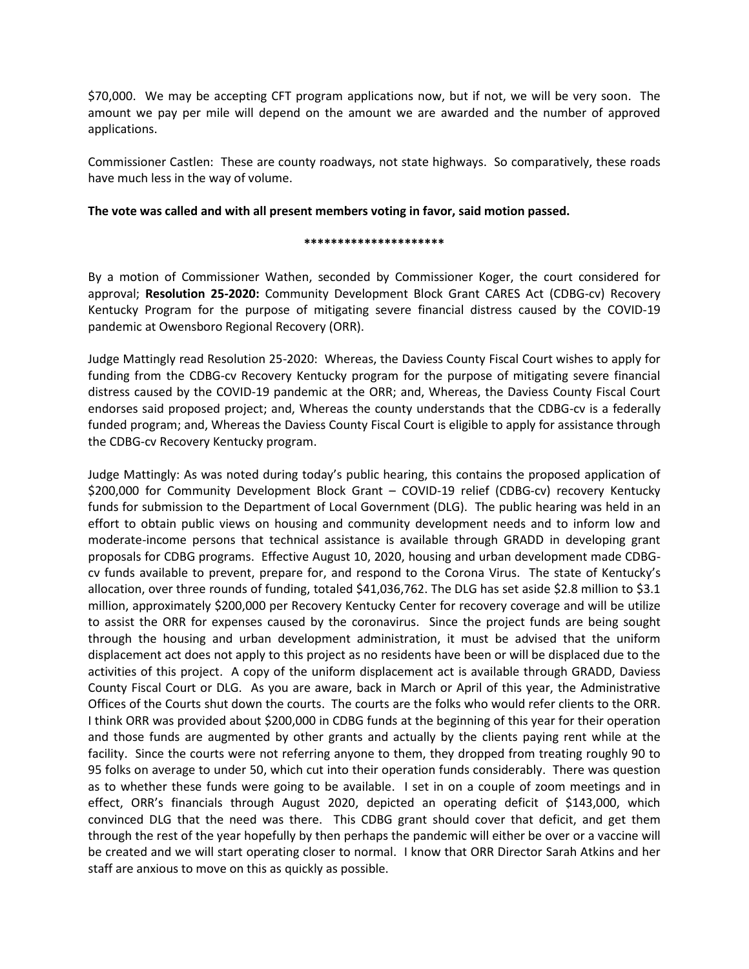\$70,000. We may be accepting CFT program applications now, but if not, we will be very soon. The amount we pay per mile will depend on the amount we are awarded and the number of approved applications.

Commissioner Castlen: These are county roadways, not state highways. So comparatively, these roads have much less in the way of volume.

# **The vote was called and with all present members voting in favor, said motion passed.**

## **\*\*\*\*\*\*\*\*\*\*\*\*\*\*\*\*\*\*\*\*\***

By a motion of Commissioner Wathen, seconded by Commissioner Koger, the court considered for approval; **Resolution 25-2020:** Community Development Block Grant CARES Act (CDBG-cv) Recovery Kentucky Program for the purpose of mitigating severe financial distress caused by the COVID-19 pandemic at Owensboro Regional Recovery (ORR).

Judge Mattingly read Resolution 25-2020: Whereas, the Daviess County Fiscal Court wishes to apply for funding from the CDBG-cv Recovery Kentucky program for the purpose of mitigating severe financial distress caused by the COVID-19 pandemic at the ORR; and, Whereas, the Daviess County Fiscal Court endorses said proposed project; and, Whereas the county understands that the CDBG-cv is a federally funded program; and, Whereas the Daviess County Fiscal Court is eligible to apply for assistance through the CDBG-cv Recovery Kentucky program.

Judge Mattingly: As was noted during today's public hearing, this contains the proposed application of \$200,000 for Community Development Block Grant – COVID-19 relief (CDBG-cv) recovery Kentucky funds for submission to the Department of Local Government (DLG). The public hearing was held in an effort to obtain public views on housing and community development needs and to inform low and moderate-income persons that technical assistance is available through GRADD in developing grant proposals for CDBG programs. Effective August 10, 2020, housing and urban development made CDBGcv funds available to prevent, prepare for, and respond to the Corona Virus. The state of Kentucky's allocation, over three rounds of funding, totaled \$41,036,762. The DLG has set aside \$2.8 million to \$3.1 million, approximately \$200,000 per Recovery Kentucky Center for recovery coverage and will be utilize to assist the ORR for expenses caused by the coronavirus. Since the project funds are being sought through the housing and urban development administration, it must be advised that the uniform displacement act does not apply to this project as no residents have been or will be displaced due to the activities of this project. A copy of the uniform displacement act is available through GRADD, Daviess County Fiscal Court or DLG. As you are aware, back in March or April of this year, the Administrative Offices of the Courts shut down the courts. The courts are the folks who would refer clients to the ORR. I think ORR was provided about \$200,000 in CDBG funds at the beginning of this year for their operation and those funds are augmented by other grants and actually by the clients paying rent while at the facility. Since the courts were not referring anyone to them, they dropped from treating roughly 90 to 95 folks on average to under 50, which cut into their operation funds considerably. There was question as to whether these funds were going to be available. I set in on a couple of zoom meetings and in effect, ORR's financials through August 2020, depicted an operating deficit of \$143,000, which convinced DLG that the need was there. This CDBG grant should cover that deficit, and get them through the rest of the year hopefully by then perhaps the pandemic will either be over or a vaccine will be created and we will start operating closer to normal. I know that ORR Director Sarah Atkins and her staff are anxious to move on this as quickly as possible.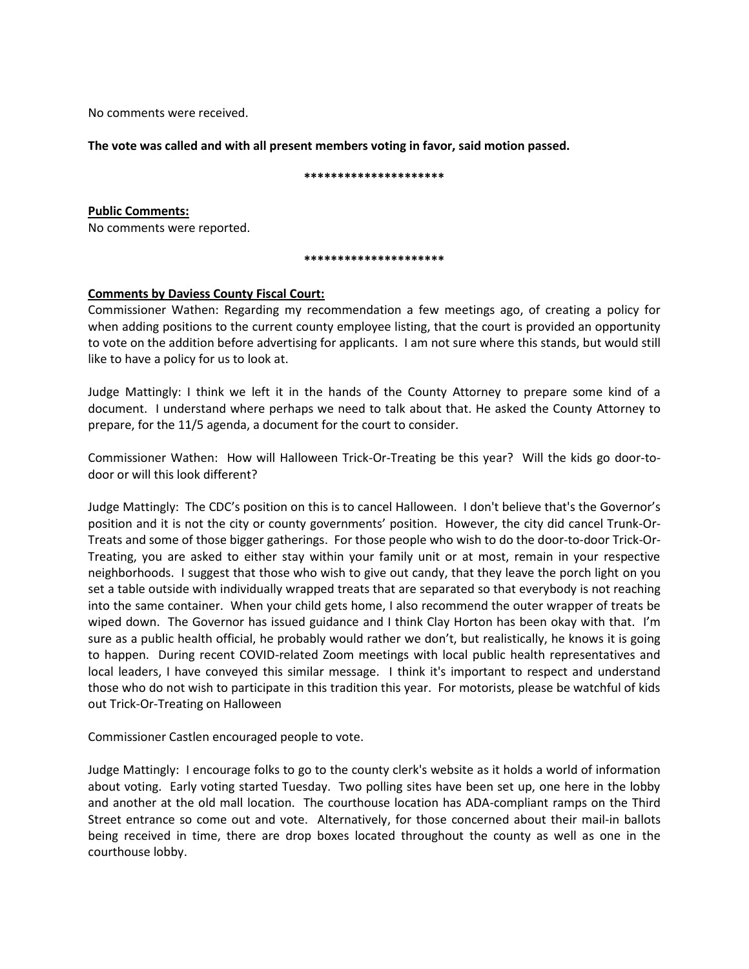No comments were received.

**The vote was called and with all present members voting in favor, said motion passed.**

**\*\*\*\*\*\*\*\*\*\*\*\*\*\*\*\*\*\*\*\*\***

**Public Comments:** No comments were reported.

### **\*\*\*\*\*\*\*\*\*\*\*\*\*\*\*\*\*\*\*\*\***

# **Comments by Daviess County Fiscal Court:**

Commissioner Wathen: Regarding my recommendation a few meetings ago, of creating a policy for when adding positions to the current county employee listing, that the court is provided an opportunity to vote on the addition before advertising for applicants. I am not sure where this stands, but would still like to have a policy for us to look at.

Judge Mattingly: I think we left it in the hands of the County Attorney to prepare some kind of a document. I understand where perhaps we need to talk about that. He asked the County Attorney to prepare, for the 11/5 agenda, a document for the court to consider.

Commissioner Wathen: How will Halloween Trick-Or-Treating be this year? Will the kids go door-todoor or will this look different?

Judge Mattingly: The CDC's position on this is to cancel Halloween. I don't believe that's the Governor's position and it is not the city or county governments' position. However, the city did cancel Trunk-Or-Treats and some of those bigger gatherings. For those people who wish to do the door-to-door Trick-Or-Treating, you are asked to either stay within your family unit or at most, remain in your respective neighborhoods. I suggest that those who wish to give out candy, that they leave the porch light on you set a table outside with individually wrapped treats that are separated so that everybody is not reaching into the same container. When your child gets home, I also recommend the outer wrapper of treats be wiped down. The Governor has issued guidance and I think Clay Horton has been okay with that. I'm sure as a public health official, he probably would rather we don't, but realistically, he knows it is going to happen. During recent COVID-related Zoom meetings with local public health representatives and local leaders, I have conveyed this similar message. I think it's important to respect and understand those who do not wish to participate in this tradition this year. For motorists, please be watchful of kids out Trick-Or-Treating on Halloween

Commissioner Castlen encouraged people to vote.

Judge Mattingly: I encourage folks to go to the county clerk's website as it holds a world of information about voting. Early voting started Tuesday. Two polling sites have been set up, one here in the lobby and another at the old mall location. The courthouse location has ADA-compliant ramps on the Third Street entrance so come out and vote. Alternatively, for those concerned about their mail-in ballots being received in time, there are drop boxes located throughout the county as well as one in the courthouse lobby.